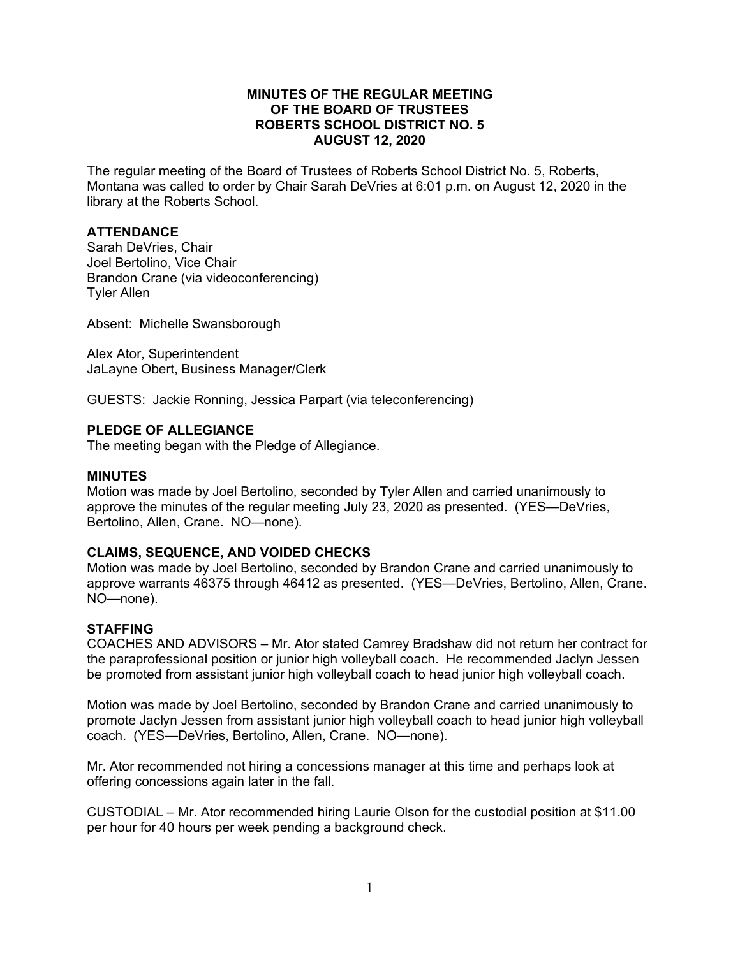# **MINUTES OF THE REGULAR MEETING OF THE BOARD OF TRUSTEES ROBERTS SCHOOL DISTRICT NO. 5 AUGUST 12, 2020**

The regular meeting of the Board of Trustees of Roberts School District No. 5, Roberts, Montana was called to order by Chair Sarah DeVries at 6:01 p.m. on August 12, 2020 in the library at the Roberts School.

# **ATTENDANCE**

Sarah DeVries, Chair Joel Bertolino, Vice Chair Brandon Crane (via videoconferencing) Tyler Allen

Absent: Michelle Swansborough

Alex Ator, Superintendent JaLayne Obert, Business Manager/Clerk

GUESTS: Jackie Ronning, Jessica Parpart (via teleconferencing)

## **PLEDGE OF ALLEGIANCE**

The meeting began with the Pledge of Allegiance.

#### **MINUTES**

Motion was made by Joel Bertolino, seconded by Tyler Allen and carried unanimously to approve the minutes of the regular meeting July 23, 2020 as presented. (YES—DeVries, Bertolino, Allen, Crane. NO—none).

## **CLAIMS, SEQUENCE, AND VOIDED CHECKS**

Motion was made by Joel Bertolino, seconded by Brandon Crane and carried unanimously to approve warrants 46375 through 46412 as presented. (YES—DeVries, Bertolino, Allen, Crane. NO—none).

## **STAFFING**

COACHES AND ADVISORS – Mr. Ator stated Camrey Bradshaw did not return her contract for the paraprofessional position or junior high volleyball coach. He recommended Jaclyn Jessen be promoted from assistant junior high volleyball coach to head junior high volleyball coach.

Motion was made by Joel Bertolino, seconded by Brandon Crane and carried unanimously to promote Jaclyn Jessen from assistant junior high volleyball coach to head junior high volleyball coach. (YES—DeVries, Bertolino, Allen, Crane. NO—none).

Mr. Ator recommended not hiring a concessions manager at this time and perhaps look at offering concessions again later in the fall.

CUSTODIAL – Mr. Ator recommended hiring Laurie Olson for the custodial position at \$11.00 per hour for 40 hours per week pending a background check.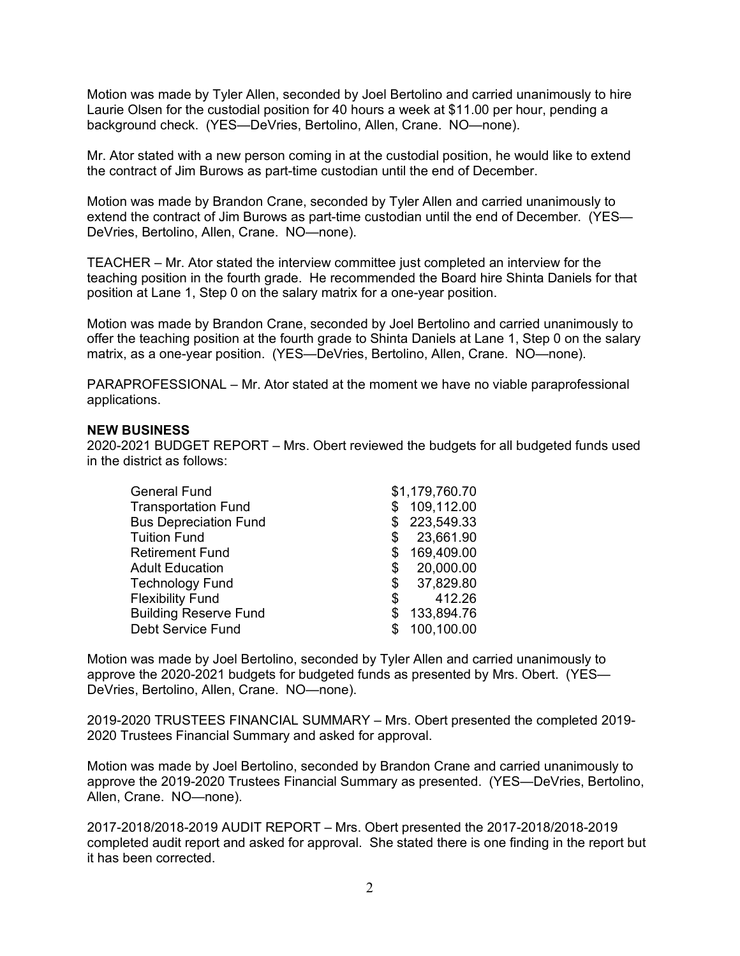Motion was made by Tyler Allen, seconded by Joel Bertolino and carried unanimously to hire Laurie Olsen for the custodial position for 40 hours a week at \$11.00 per hour, pending a background check. (YES—DeVries, Bertolino, Allen, Crane. NO—none).

Mr. Ator stated with a new person coming in at the custodial position, he would like to extend the contract of Jim Burows as part-time custodian until the end of December.

Motion was made by Brandon Crane, seconded by Tyler Allen and carried unanimously to extend the contract of Jim Burows as part-time custodian until the end of December. (YES— DeVries, Bertolino, Allen, Crane. NO—none).

TEACHER – Mr. Ator stated the interview committee just completed an interview for the teaching position in the fourth grade. He recommended the Board hire Shinta Daniels for that position at Lane 1, Step 0 on the salary matrix for a one-year position.

Motion was made by Brandon Crane, seconded by Joel Bertolino and carried unanimously to offer the teaching position at the fourth grade to Shinta Daniels at Lane 1, Step 0 on the salary matrix, as a one-year position. (YES—DeVries, Bertolino, Allen, Crane. NO—none).

PARAPROFESSIONAL – Mr. Ator stated at the moment we have no viable paraprofessional applications.

#### **NEW BUSINESS**

2020-2021 BUDGET REPORT – Mrs. Obert reviewed the budgets for all budgeted funds used in the district as follows:

| <b>General Fund</b>          |    | \$1,179,760.70 |
|------------------------------|----|----------------|
| <b>Transportation Fund</b>   |    | 109,112.00     |
| <b>Bus Depreciation Fund</b> |    | \$223,549.33   |
| <b>Tuition Fund</b>          | S  | 23,661.90      |
| <b>Retirement Fund</b>       |    | 169,409.00     |
| <b>Adult Education</b>       | \$ | 20,000.00      |
| <b>Technology Fund</b>       | \$ | 37,829.80      |
| <b>Flexibility Fund</b>      | S  | 412.26         |
| <b>Building Reserve Fund</b> | S  | 133,894.76     |
| <b>Debt Service Fund</b>     |    | 100,100.00     |

Motion was made by Joel Bertolino, seconded by Tyler Allen and carried unanimously to approve the 2020-2021 budgets for budgeted funds as presented by Mrs. Obert. (YES— DeVries, Bertolino, Allen, Crane. NO—none).

2019-2020 TRUSTEES FINANCIAL SUMMARY – Mrs. Obert presented the completed 2019- 2020 Trustees Financial Summary and asked for approval.

Motion was made by Joel Bertolino, seconded by Brandon Crane and carried unanimously to approve the 2019-2020 Trustees Financial Summary as presented. (YES—DeVries, Bertolino, Allen, Crane. NO—none).

2017-2018/2018-2019 AUDIT REPORT – Mrs. Obert presented the 2017-2018/2018-2019 completed audit report and asked for approval. She stated there is one finding in the report but it has been corrected.